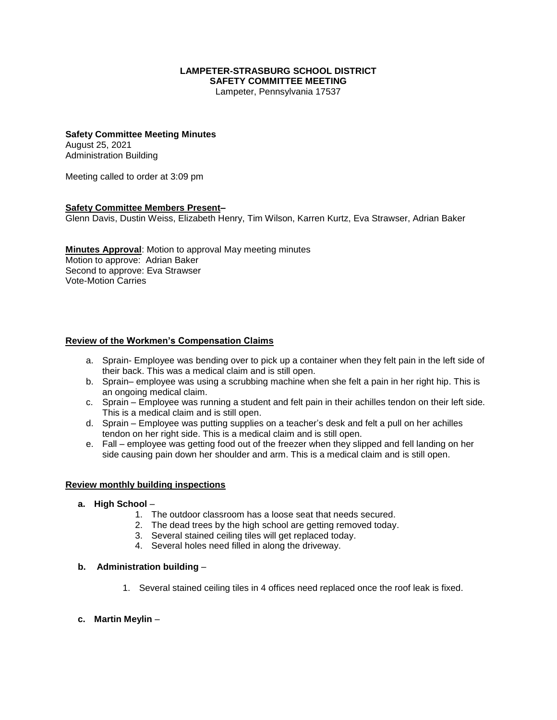#### **LAMPETER-STRASBURG SCHOOL DISTRICT SAFETY COMMITTEE MEETING**

Lampeter, Pennsylvania 17537

#### **Safety Committee Meeting Minutes** August 25, 2021

Administration Building

Meeting called to order at 3:09 pm

### **Safety Committee Members Present–**

Glenn Davis, Dustin Weiss, Elizabeth Henry, Tim Wilson, Karren Kurtz, Eva Strawser, Adrian Baker

**Minutes Approval**: Motion to approval May meeting minutes Motion to approve: Adrian Baker Second to approve: Eva Strawser Vote-Motion Carries

### **Review of the Workmen's Compensation Claims**

- a. Sprain- Employee was bending over to pick up a container when they felt pain in the left side of their back. This was a medical claim and is still open.
- b. Sprain– employee was using a scrubbing machine when she felt a pain in her right hip. This is an ongoing medical claim.
- c. Sprain Employee was running a student and felt pain in their achilles tendon on their left side. This is a medical claim and is still open.
- d. Sprain Employee was putting supplies on a teacher's desk and felt a pull on her achilles tendon on her right side. This is a medical claim and is still open.
- e. Fall employee was getting food out of the freezer when they slipped and fell landing on her side causing pain down her shoulder and arm. This is a medical claim and is still open.

#### **Review monthly building inspections**

#### **a. High School** –

- 1. The outdoor classroom has a loose seat that needs secured.
- 2. The dead trees by the high school are getting removed today.
- 3. Several stained ceiling tiles will get replaced today.
- 4. Several holes need filled in along the driveway.
- **b. Administration building**
	- 1. Several stained ceiling tiles in 4 offices need replaced once the roof leak is fixed.
- **c. Martin Meylin** –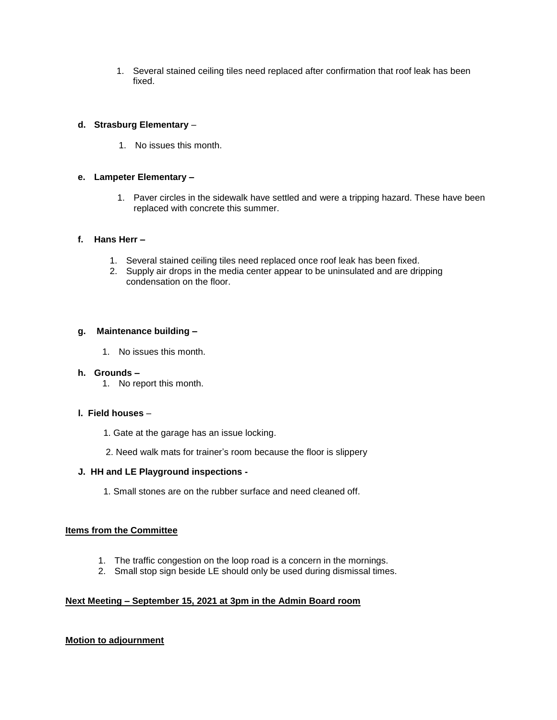1. Several stained ceiling tiles need replaced after confirmation that roof leak has been fixed.

# **d. Strasburg Elementary** –

1. No issues this month.

# **e. Lampeter Elementary –**

1. Paver circles in the sidewalk have settled and were a tripping hazard. These have been replaced with concrete this summer.

### **f. Hans Herr –**

- 1. Several stained ceiling tiles need replaced once roof leak has been fixed.
- 2. Supply air drops in the media center appear to be uninsulated and are dripping condensation on the floor.

### **g. Maintenance building –**

1. No issues this month.

# **h. Grounds –**

1. No report this month.

#### **l. Field houses** –

- 1. Gate at the garage has an issue locking.
- 2. Need walk mats for trainer's room because the floor is slippery

# **J. HH and LE Playground inspections -**

1. Small stones are on the rubber surface and need cleaned off.

#### **Items from the Committee**

- 1. The traffic congestion on the loop road is a concern in the mornings.
- 2. Small stop sign beside LE should only be used during dismissal times.

### **Next Meeting – September 15, 2021 at 3pm in the Admin Board room**

# **Motion to adjournment**